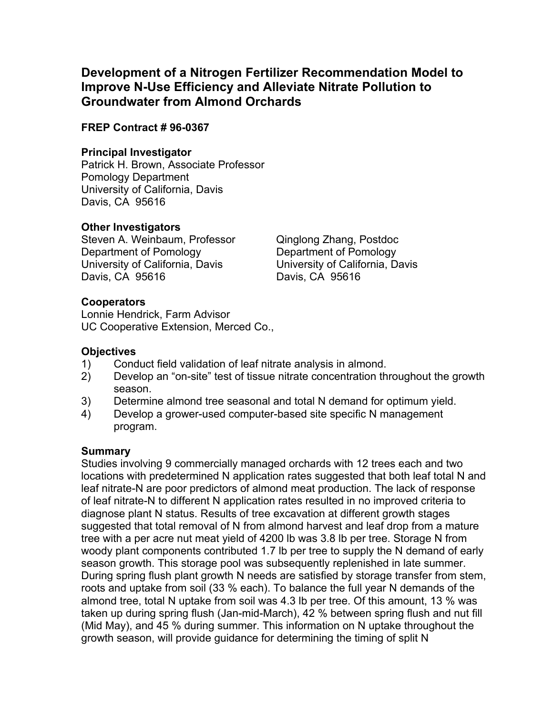## **Development of a Nitrogen Fertilizer Recommendation Model to Improve N-Use Efficiency and Alleviate Nitrate Pollution to Groundwater from Almond Orchards**

## **FREP Contract # 96-0367**

#### **Principal Investigator**

Patrick H. Brown, Associate Professor Pomology Department University of California, Davis Davis, CA 95616

## **Other Investigators**

Steven A. Weinbaum, Professor Qinglong Zhang, Postdoc Department of Pomology Department of Pomology University of California, Davis University of California, Davis Davis, CA 95616 Davis, CA 95616

## **Cooperators**

Lonnie Hendrick, Farm Advisor UC Cooperative Extension, Merced Co.,

## **Objectives**

- 1) Conduct field validation of leaf nitrate analysis in almond.
- 2) Develop an "on-site" test of tissue nitrate concentration throughout the growth season.
- 3) Determine almond tree seasonal and total N demand for optimum yield.
- 4) Develop a grower-used computer-based site specific N management program.

#### **Summary**

Studies involving 9 commercially managed orchards with 12 trees each and two locations with predetermined N application rates suggested that both leaf total N and leaf nitrate-N are poor predictors of almond meat production. The lack of response of leaf nitrate-N to different N application rates resulted in no improved criteria to diagnose plant N status. Results of tree excavation at different growth stages suggested that total removal of N from almond harvest and leaf drop from a mature tree with a per acre nut meat yield of 4200 lb was 3.8 lb per tree. Storage N from woody plant components contributed 1.7 lb per tree to supply the N demand of early season growth. This storage pool was subsequently replenished in late summer. During spring flush plant growth N needs are satisfied by storage transfer from stem, roots and uptake from soil (33 % each). To balance the full year N demands of the almond tree, total N uptake from soil was 4.3 lb per tree. Of this amount, 13 % was taken up during spring flush (Jan-mid-March), 42 % between spring flush and nut fill (Mid May), and 45 % during summer. This information on N uptake throughout the growth season, will provide guidance for determining the timing of split N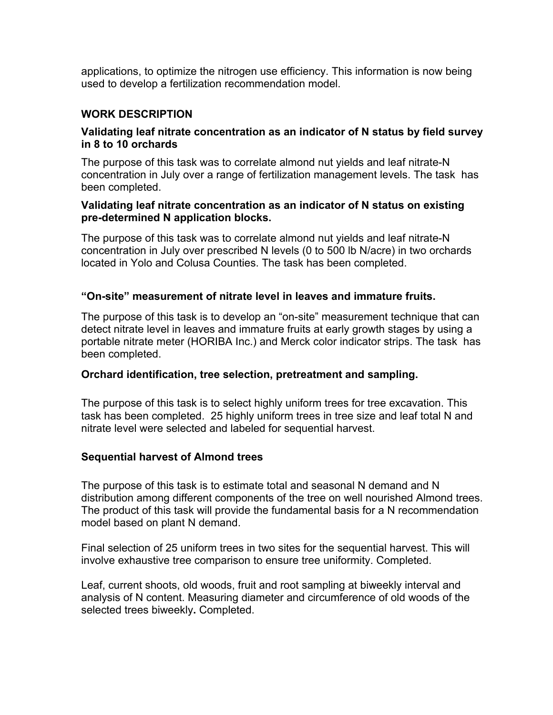applications, to optimize the nitrogen use efficiency. This information is now being used to develop a fertilization recommendation model.

## **WORK DESCRIPTION**

#### **Validating leaf nitrate concentration as an indicator of N status by field survey in 8 to 10 orchards**

The purpose of this task was to correlate almond nut yields and leaf nitrate-N concentration in July over a range of fertilization management levels. The task has been completed.

#### **Validating leaf nitrate concentration as an indicator of N status on existing pre-determined N application blocks.**

The purpose of this task was to correlate almond nut yields and leaf nitrate-N concentration in July over prescribed N levels (0 to 500 lb N/acre) in two orchards located in Yolo and Colusa Counties. The task has been completed.

#### **"On-site" measurement of nitrate level in leaves and immature fruits.**

The purpose of this task is to develop an "on-site" measurement technique that can detect nitrate level in leaves and immature fruits at early growth stages by using a portable nitrate meter (HORIBA Inc.) and Merck color indicator strips. The task has been completed.

#### **Orchard identification, tree selection, pretreatment and sampling.**

The purpose of this task is to select highly uniform trees for tree excavation. This task has been completed.25 highly uniform trees in tree size and leaf total N and nitrate level were selected and labeled for sequential harvest.

#### **Sequential harvest of Almond trees**

The purpose of this task is to estimate total and seasonal N demand and N distribution among different components of the tree on well nourished Almond trees. The product of this task will provide the fundamental basis for a N recommendation model based on plant N demand.

Final selection of 25 uniform trees in two sites for the sequential harvest. This will involve exhaustive tree comparison to ensure tree uniformity. Completed.

Leaf, current shoots, old woods, fruit and root sampling at biweekly interval and analysis of N content. Measuring diameter and circumference of old woods of the selected trees biweekly**.** Completed.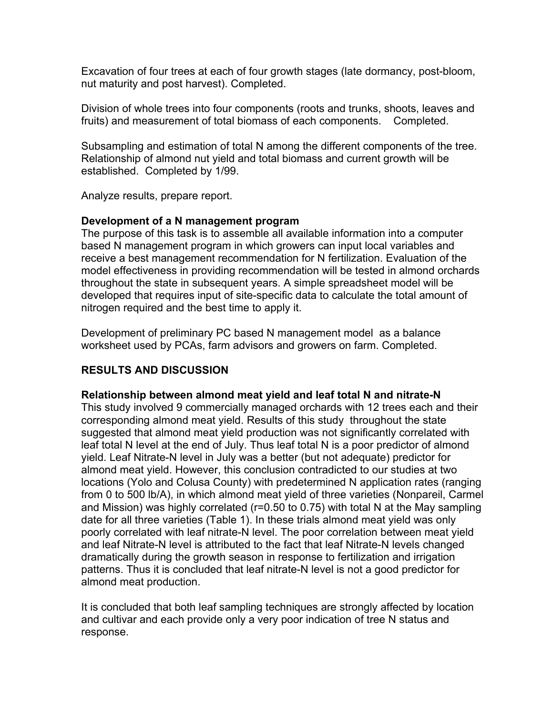Excavation of four trees at each of four growth stages (late dormancy, post-bloom, nut maturity and post harvest). Completed.

Division of whole trees into four components (roots and trunks, shoots, leaves and fruits) and measurement of total biomass of each components. Completed.

Subsampling and estimation of total N among the different components of the tree. Relationship of almond nut yield and total biomass and current growth will be established. Completed by 1/99.

Analyze results, prepare report.

#### **Development of a N management program**

The purpose of this task is to assemble all available information into a computer based N management program in which growers can input local variables and receive a best management recommendation for N fertilization. Evaluation of the model effectiveness in providing recommendation will be tested in almond orchards throughout the state in subsequent years. A simple spreadsheet model will be developed that requires input of site-specific data to calculate the total amount of nitrogen required and the best time to apply it.

Development of preliminary PC based N management model as a balance worksheet used by PCAs, farm advisors and growers on farm. Completed.

## **RESULTS AND DISCUSSION**

#### **Relationship between almond meat yield and leaf total N and nitrate-N**

This study involved 9 commercially managed orchards with 12 trees each and their corresponding almond meat yield. Results of this study throughout the state suggested that almond meat yield production was not significantly correlated with leaf total N level at the end of July. Thus leaf total N is a poor predictor of almond yield. Leaf Nitrate-N level in July was a better (but not adequate) predictor for almond meat yield. However, this conclusion contradicted to our studies at two locations (Yolo and Colusa County) with predetermined N application rates (ranging from 0 to 500 lb/A), in which almond meat yield of three varieties (Nonpareil, Carmel and Mission) was highly correlated (r=0.50 to 0.75) with total N at the May sampling date for all three varieties (Table 1). In these trials almond meat yield was only poorly correlated with leaf nitrate-N level. The poor correlation between meat yield and leaf Nitrate-N level is attributed to the fact that leaf Nitrate-N levels changed dramatically during the growth season in response to fertilization and irrigation patterns. Thus it is concluded that leaf nitrate-N level is not a good predictor for almond meat production.

It is concluded that both leaf sampling techniques are strongly affected by location and cultivar and each provide only a very poor indication of tree N status and response.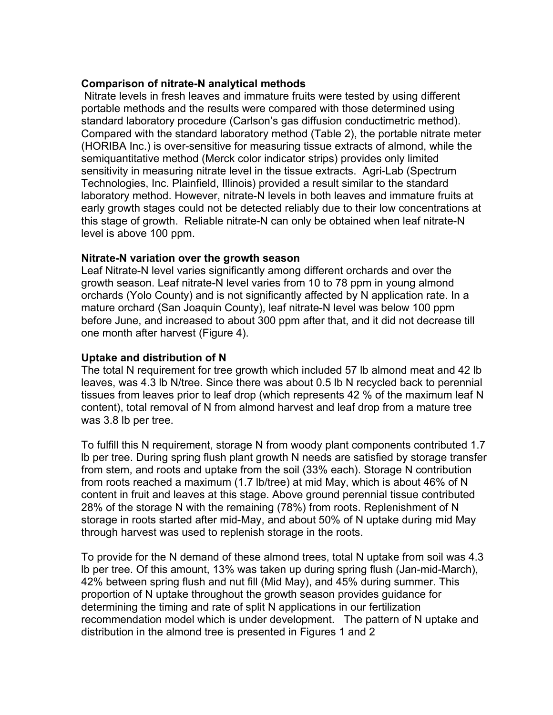#### **Comparison of nitrate-N analytical methods**

 Nitrate levels in fresh leaves and immature fruits were tested by using different portable methods and the results were compared with those determined using standard laboratory procedure (Carlson's gas diffusion conductimetric method). Compared with the standard laboratory method (Table 2), the portable nitrate meter (HORIBA Inc.) is over-sensitive for measuring tissue extracts of almond, while the semiquantitative method (Merck color indicator strips) provides only limited sensitivity in measuring nitrate level in the tissue extracts. Agri-Lab (Spectrum Technologies, Inc. Plainfield, Illinois) provided a result similar to the standard laboratory method. However, nitrate-N levels in both leaves and immature fruits at early growth stages could not be detected reliably due to their low concentrations at this stage of growth. Reliable nitrate-N can only be obtained when leaf nitrate-N level is above 100 ppm.

#### **Nitrate-N variation over the growth season**

Leaf Nitrate-N level varies significantly among different orchards and over the growth season. Leaf nitrate-N level varies from 10 to 78 ppm in young almond orchards (Yolo County) and is not significantly affected by N application rate. In a mature orchard (San Joaquin County), leaf nitrate-N level was below 100 ppm before June, and increased to about 300 ppm after that, and it did not decrease till one month after harvest (Figure 4).

#### **Uptake and distribution of N**

The total N requirement for tree growth which included 57 lb almond meat and 42 lb leaves, was 4.3 lb N/tree. Since there was about 0.5 lb N recycled back to perennial tissues from leaves prior to leaf drop (which represents 42 % of the maximum leaf N content), total removal of N from almond harvest and leaf drop from a mature tree was 3.8 lb per tree.

To fulfill this N requirement, storage N from woody plant components contributed 1.7 lb per tree. During spring flush plant growth N needs are satisfied by storage transfer from stem, and roots and uptake from the soil (33% each). Storage N contribution from roots reached a maximum (1.7 lb/tree) at mid May, which is about 46% of N content in fruit and leaves at this stage. Above ground perennial tissue contributed 28% of the storage N with the remaining (78%) from roots. Replenishment of N storage in roots started after mid-May, and about 50% of N uptake during mid May through harvest was used to replenish storage in the roots.

To provide for the N demand of these almond trees, total N uptake from soil was 4.3 lb per tree. Of this amount, 13% was taken up during spring flush (Jan-mid-March), 42% between spring flush and nut fill (Mid May), and 45% during summer. This proportion of N uptake throughout the growth season provides guidance for determining the timing and rate of split N applications in our fertilization recommendation model which is under development. The pattern of N uptake and distribution in the almond tree is presented in Figures 1 and 2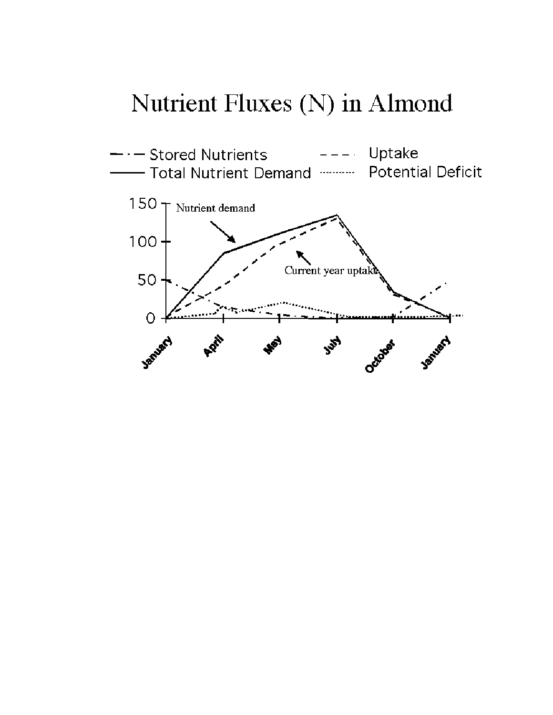## Nutrient Fluxes (N) in Almond

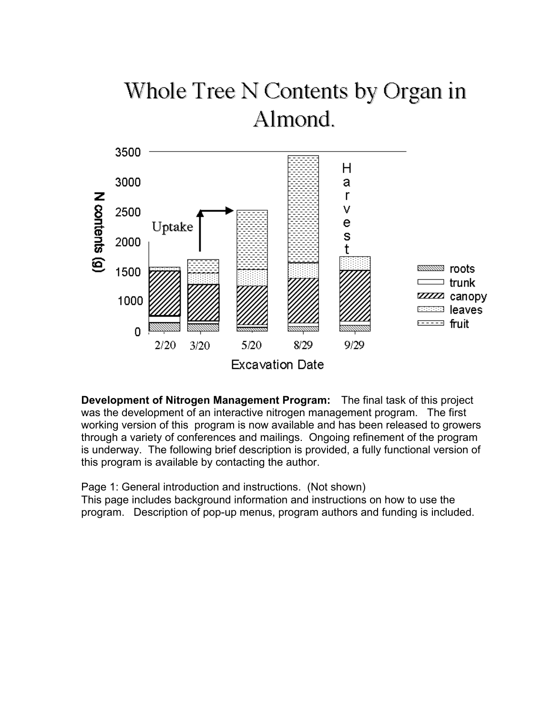# Whole Tree N Contents by Organ in Almond.



**Development of Nitrogen Management Program:** The final task of this project was the development of an interactive nitrogen management program. The first working version of this program is now available and has been released to growers through a variety of conferences and mailings. Ongoing refinement of the program is underway. The following brief description is provided, a fully functional version of this program is available by contacting the author.

Page 1: General introduction and instructions. (Not shown) This page includes background information and instructions on how to use the program. Description of pop-up menus, program authors and funding is included.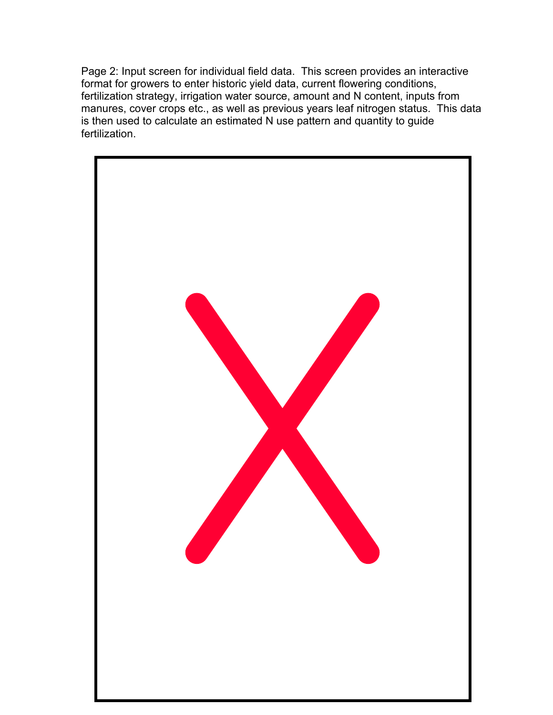Page 2: Input screen for individual field data. This screen provides an interactive format for growers to enter historic yield data, current flowering conditions, fertilization strategy, irrigation water source, amount and N content, inputs from manures, cover crops etc., as well as previous years leaf nitrogen status. This data is then used to calculate an estimated N use pattern and quantity to guide fertilization.